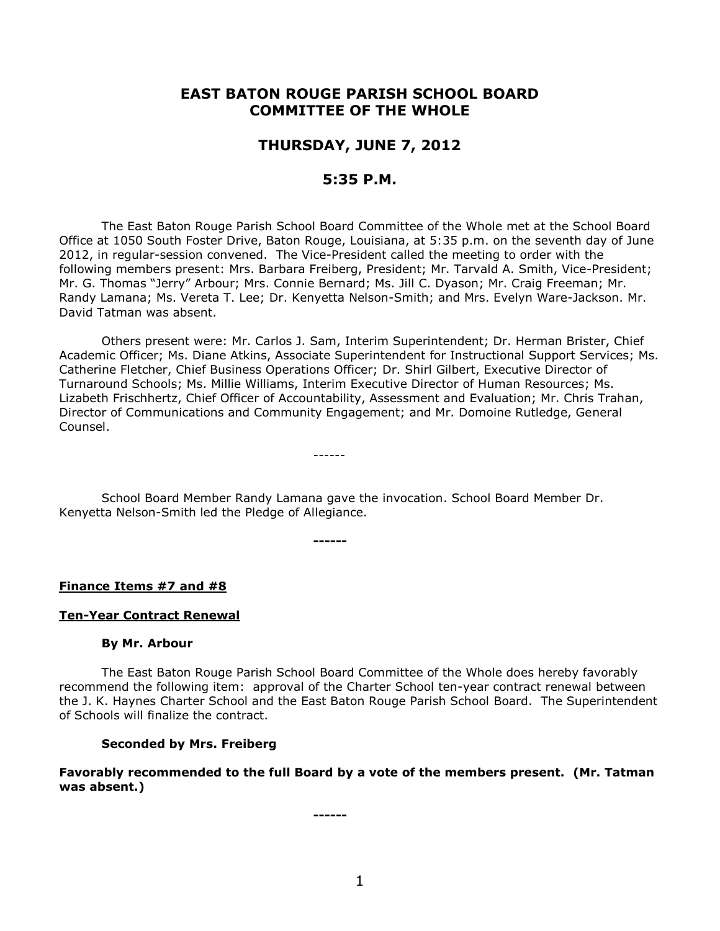# **EAST BATON ROUGE PARISH SCHOOL BOARD COMMITTEE OF THE WHOLE**

# **THURSDAY, JUNE 7, 2012**

# **5:35 P.M.**

The East Baton Rouge Parish School Board Committee of the Whole met at the School Board Office at 1050 South Foster Drive, Baton Rouge, Louisiana, at 5:35 p.m. on the seventh day of June 2012, in regular-session convened. The Vice-President called the meeting to order with the following members present: Mrs. Barbara Freiberg, President; Mr. Tarvald A. Smith, Vice-President; Mr. G. Thomas "Jerry" Arbour; Mrs. Connie Bernard; Ms. Jill C. Dyason; Mr. Craig Freeman; Mr. Randy Lamana; Ms. Vereta T. Lee; Dr. Kenyetta Nelson-Smith; and Mrs. Evelyn Ware-Jackson. Mr. David Tatman was absent.

Others present were: Mr. Carlos J. Sam, Interim Superintendent; Dr. Herman Brister, Chief Academic Officer; Ms. Diane Atkins, Associate Superintendent for Instructional Support Services; Ms. Catherine Fletcher, Chief Business Operations Officer; Dr. Shirl Gilbert, Executive Director of Turnaround Schools; Ms. Millie Williams, Interim Executive Director of Human Resources; Ms. Lizabeth Frischhertz, Chief Officer of Accountability, Assessment and Evaluation; Mr. Chris Trahan, Director of Communications and Community Engagement; and Mr. Domoine Rutledge, General Counsel.

School Board Member Randy Lamana gave the invocation. School Board Member Dr. Kenyetta Nelson-Smith led the Pledge of Allegiance.

**------**

------

**Finance Items #7 and #8**

### **Ten-Year Contract Renewal**

#### **By Mr. Arbour**

The East Baton Rouge Parish School Board Committee of the Whole does hereby favorably recommend the following item: approval of the Charter School ten-year contract renewal between the J. K. Haynes Charter School and the East Baton Rouge Parish School Board. The Superintendent of Schools will finalize the contract.

# **Seconded by Mrs. Freiberg**

## **Favorably recommended to the full Board by a vote of the members present. (Mr. Tatman was absent.)**

**------**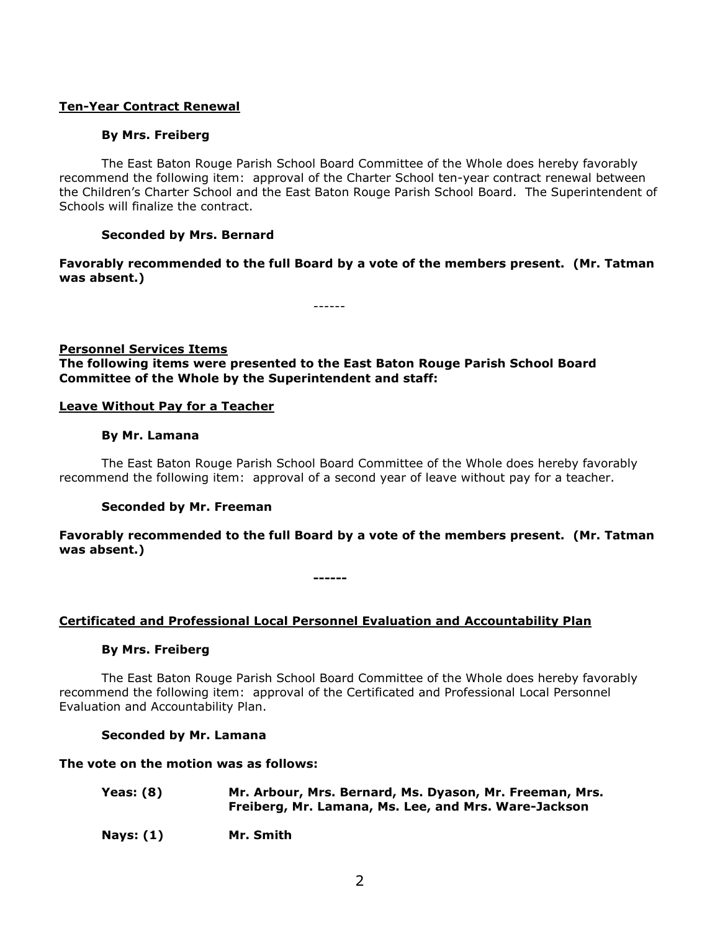# **Ten-Year Contract Renewal**

# **By Mrs. Freiberg**

The East Baton Rouge Parish School Board Committee of the Whole does hereby favorably recommend the following item: approval of the Charter School ten-year contract renewal between the Children's Charter School and the East Baton Rouge Parish School Board. The Superintendent of Schools will finalize the contract.

## **Seconded by Mrs. Bernard**

**Favorably recommended to the full Board by a vote of the members present. (Mr. Tatman was absent.)**

------

# **Personnel Services Items The following items were presented to the East Baton Rouge Parish School Board Committee of the Whole by the Superintendent and staff:**

## **Leave Without Pay for a Teacher**

### **By Mr. Lamana**

The East Baton Rouge Parish School Board Committee of the Whole does hereby favorably recommend the following item: approval of a second year of leave without pay for a teacher.

### **Seconded by Mr. Freeman**

**Favorably recommended to the full Board by a vote of the members present. (Mr. Tatman was absent.)**

**------**

# **Certificated and Professional Local Personnel Evaluation and Accountability Plan**

### **By Mrs. Freiberg**

The East Baton Rouge Parish School Board Committee of the Whole does hereby favorably recommend the following item: approval of the Certificated and Professional Local Personnel Evaluation and Accountability Plan.

### **Seconded by Mr. Lamana**

**The vote on the motion was as follows:**

| <b>Yeas: (8)</b> | Mr. Arbour, Mrs. Bernard, Ms. Dyason, Mr. Freeman, Mrs. |
|------------------|---------------------------------------------------------|
|                  | Freiberg, Mr. Lamana, Ms. Lee, and Mrs. Ware-Jackson    |

**Nays: (1) Mr. Smith**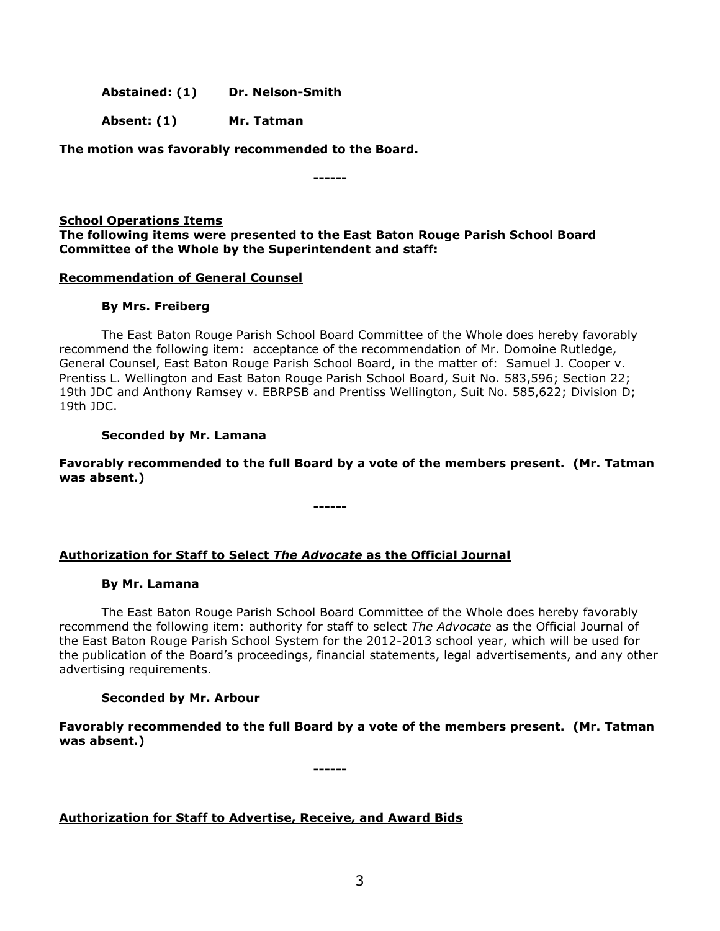**Abstained: (1) Dr. Nelson-Smith**

**Absent: (1) Mr. Tatman**

**The motion was favorably recommended to the Board.**

**------**

**School Operations Items The following items were presented to the East Baton Rouge Parish School Board Committee of the Whole by the Superintendent and staff:**

# **Recommendation of General Counsel**

# **By Mrs. Freiberg**

The East Baton Rouge Parish School Board Committee of the Whole does hereby favorably recommend the following item: acceptance of the recommendation of Mr. Domoine Rutledge, General Counsel, East Baton Rouge Parish School Board, in the matter of: Samuel J. Cooper v. Prentiss L. Wellington and East Baton Rouge Parish School Board, Suit No. 583,596; Section 22; 19th JDC and Anthony Ramsey v. EBRPSB and Prentiss Wellington, Suit No. 585,622; Division D; 19th JDC.

# **Seconded by Mr. Lamana**

**Favorably recommended to the full Board by a vote of the members present. (Mr. Tatman was absent.)**

**------**

# **Authorization for Staff to Select** *The Advocate* **as the Official Journal**

# **By Mr. Lamana**

The East Baton Rouge Parish School Board Committee of the Whole does hereby favorably recommend the following item: authority for staff to select *The Advocate* as the Official Journal of the East Baton Rouge Parish School System for the 2012-2013 school year, which will be used for the publication of the Board's proceedings, financial statements, legal advertisements, and any other advertising requirements.

# **Seconded by Mr. Arbour**

**Favorably recommended to the full Board by a vote of the members present. (Mr. Tatman was absent.)**

**------**

**Authorization for Staff to Advertise, Receive, and Award Bids**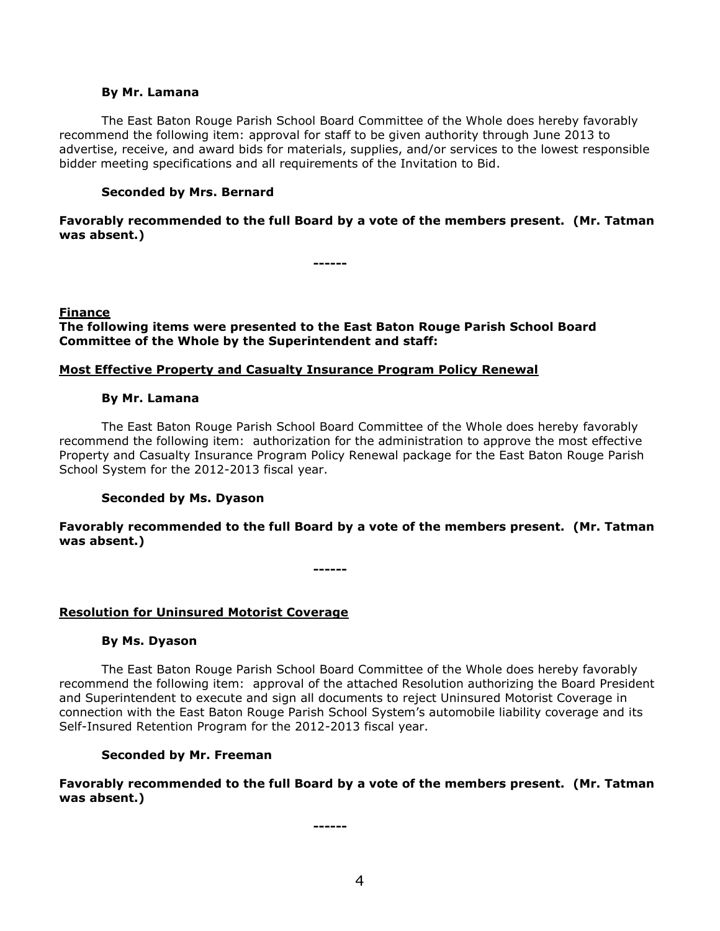### **By Mr. Lamana**

The East Baton Rouge Parish School Board Committee of the Whole does hereby favorably recommend the following item: approval for staff to be given authority through June 2013 to advertise, receive, and award bids for materials, supplies, and/or services to the lowest responsible bidder meeting specifications and all requirements of the Invitation to Bid.

# **Seconded by Mrs. Bernard**

**Favorably recommended to the full Board by a vote of the members present. (Mr. Tatman was absent.)**

**------**

## **Finance**

**The following items were presented to the East Baton Rouge Parish School Board Committee of the Whole by the Superintendent and staff:**

## **Most Effective Property and Casualty Insurance Program Policy Renewal**

## **By Mr. Lamana**

The East Baton Rouge Parish School Board Committee of the Whole does hereby favorably recommend the following item: authorization for the administration to approve the most effective Property and Casualty Insurance Program Policy Renewal package for the East Baton Rouge Parish School System for the 2012-2013 fiscal year.

# **Seconded by Ms. Dyason**

**Favorably recommended to the full Board by a vote of the members present. (Mr. Tatman was absent.)**

**------**

# **Resolution for Uninsured Motorist Coverage**

# **By Ms. Dyason**

The East Baton Rouge Parish School Board Committee of the Whole does hereby favorably recommend the following item: approval of the attached Resolution authorizing the Board President and Superintendent to execute and sign all documents to reject Uninsured Motorist Coverage in connection with the East Baton Rouge Parish School System's automobile liability coverage and its Self-Insured Retention Program for the 2012-2013 fiscal year.

# **Seconded by Mr. Freeman**

**Favorably recommended to the full Board by a vote of the members present. (Mr. Tatman was absent.)**

**------**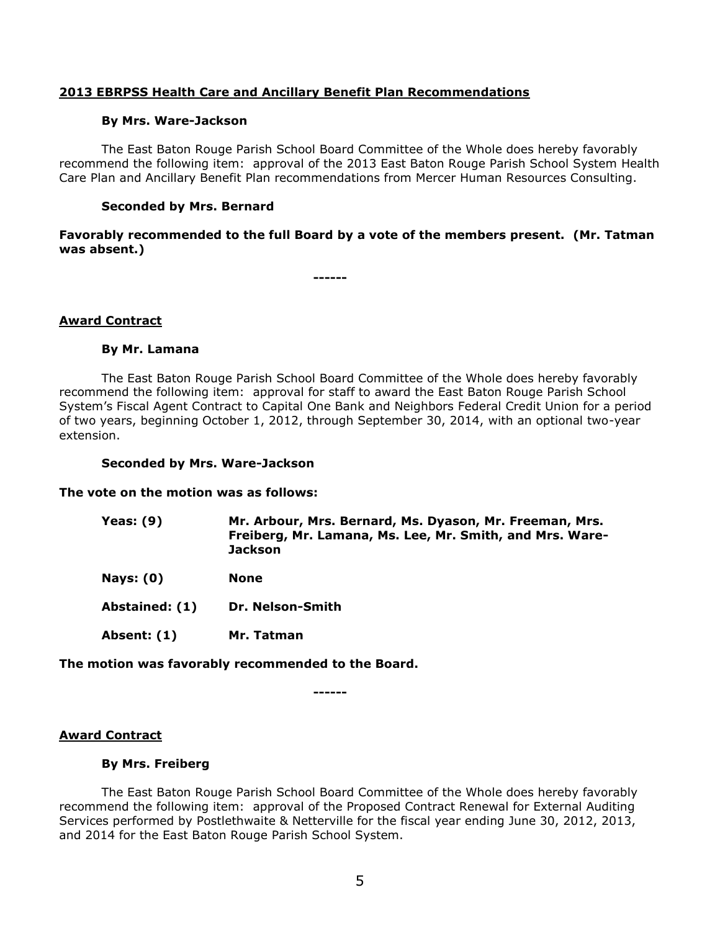# **2013 EBRPSS Health Care and Ancillary Benefit Plan Recommendations**

### **By Mrs. Ware-Jackson**

The East Baton Rouge Parish School Board Committee of the Whole does hereby favorably recommend the following item: approval of the 2013 East Baton Rouge Parish School System Health Care Plan and Ancillary Benefit Plan recommendations from Mercer Human Resources Consulting.

## **Seconded by Mrs. Bernard**

**Favorably recommended to the full Board by a vote of the members present. (Mr. Tatman was absent.)**

**------**

## **Award Contract**

## **By Mr. Lamana**

The East Baton Rouge Parish School Board Committee of the Whole does hereby favorably recommend the following item: approval for staff to award the East Baton Rouge Parish School System's Fiscal Agent Contract to Capital One Bank and Neighbors Federal Credit Union for a period of two years, beginning October 1, 2012, through September 30, 2014, with an optional two-year extension.

### **Seconded by Mrs. Ware-Jackson**

**The vote on the motion was as follows:**

| <b>Yeas: (9)</b> | Mr. Arbour, Mrs. Bernard, Ms. Dyason, Mr. Freeman, Mrs.  |
|------------------|----------------------------------------------------------|
|                  | Freiberg, Mr. Lamana, Ms. Lee, Mr. Smith, and Mrs. Ware- |
|                  | Jackson                                                  |

**Nays: (0) None**

**Abstained: (1) Dr. Nelson-Smith**

**Absent: (1) Mr. Tatman**

**The motion was favorably recommended to the Board.**

**------**

### **Award Contract**

### **By Mrs. Freiberg**

The East Baton Rouge Parish School Board Committee of the Whole does hereby favorably recommend the following item: approval of the Proposed Contract Renewal for External Auditing Services performed by Postlethwaite & Netterville for the fiscal year ending June 30, 2012, 2013, and 2014 for the East Baton Rouge Parish School System.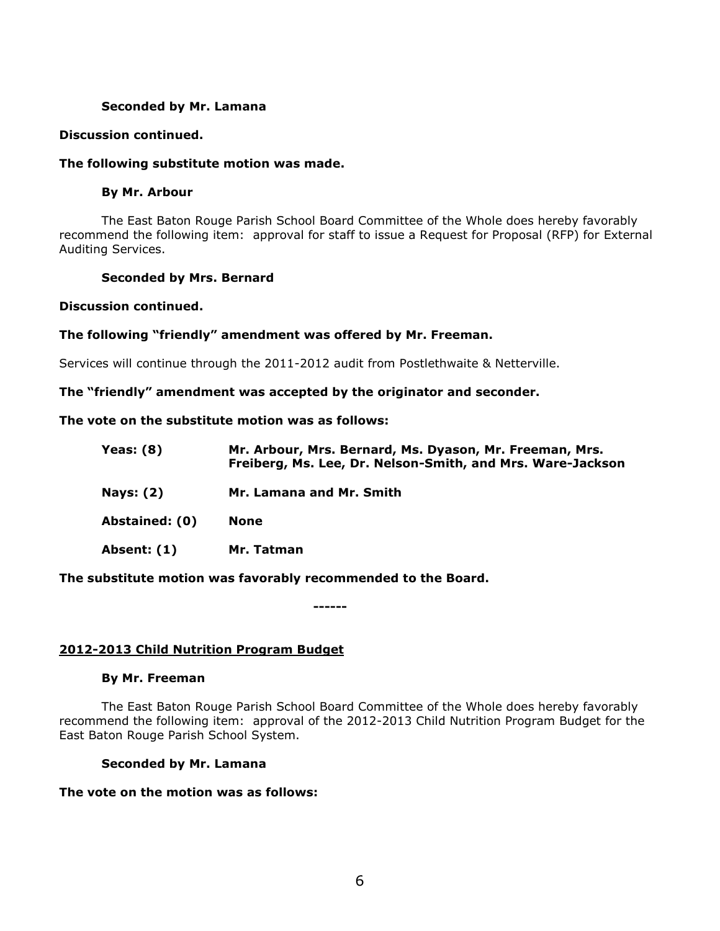# **Seconded by Mr. Lamana**

# **Discussion continued.**

# **The following substitute motion was made.**

## **By Mr. Arbour**

The East Baton Rouge Parish School Board Committee of the Whole does hereby favorably recommend the following item: approval for staff to issue a Request for Proposal (RFP) for External Auditing Services.

# **Seconded by Mrs. Bernard**

## **Discussion continued.**

# **The following "friendly" amendment was offered by Mr. Freeman.**

Services will continue through the 2011-2012 audit from Postlethwaite & Netterville.

## **The "friendly" amendment was accepted by the originator and seconder.**

# **The vote on the substitute motion was as follows:**

| Yeas: $(8)$      | Mr. Arbour, Mrs. Bernard, Ms. Dyason, Mr. Freeman, Mrs.<br>Freiberg, Ms. Lee, Dr. Nelson-Smith, and Mrs. Ware-Jackson |
|------------------|-----------------------------------------------------------------------------------------------------------------------|
| <b>Nays: (2)</b> | Mr. Lamana and Mr. Smith                                                                                              |
| Abstained: (0)   | <b>None</b>                                                                                                           |
| Absent: (1)      | Mr. Tatman                                                                                                            |

# **The substitute motion was favorably recommended to the Board.**

**------**

# **2012-2013 Child Nutrition Program Budget**

## **By Mr. Freeman**

The East Baton Rouge Parish School Board Committee of the Whole does hereby favorably recommend the following item: approval of the 2012-2013 Child Nutrition Program Budget for the East Baton Rouge Parish School System.

## **Seconded by Mr. Lamana**

# **The vote on the motion was as follows:**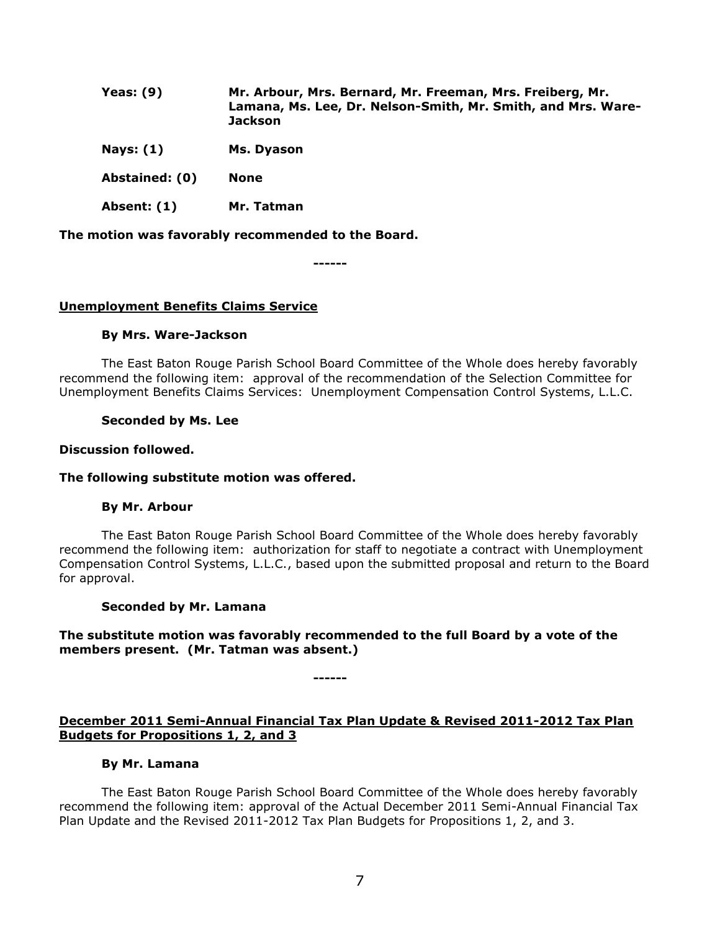| Yeas: $(9)$    | Mr. Arbour, Mrs. Bernard, Mr. Freeman, Mrs. Freiberg, Mr.<br>Lamana, Ms. Lee, Dr. Nelson-Smith, Mr. Smith, and Mrs. Ware-<br><b>Jackson</b> |
|----------------|---------------------------------------------------------------------------------------------------------------------------------------------|
| Nays: $(1)$    | Ms. Dyason                                                                                                                                  |
| Abstained: (0) | <b>None</b>                                                                                                                                 |
| Absent: (1)    | Mr. Tatman                                                                                                                                  |

**The motion was favorably recommended to the Board.**

**------**

## **Unemployment Benefits Claims Service**

### **By Mrs. Ware-Jackson**

The East Baton Rouge Parish School Board Committee of the Whole does hereby favorably recommend the following item: approval of the recommendation of the Selection Committee for Unemployment Benefits Claims Services: Unemployment Compensation Control Systems, L.L.C.

### **Seconded by Ms. Lee**

#### **Discussion followed.**

## **The following substitute motion was offered.**

### **By Mr. Arbour**

The East Baton Rouge Parish School Board Committee of the Whole does hereby favorably recommend the following item: authorization for staff to negotiate a contract with Unemployment Compensation Control Systems, L.L.C., based upon the submitted proposal and return to the Board for approval.

#### **Seconded by Mr. Lamana**

# **The substitute motion was favorably recommended to the full Board by a vote of the members present. (Mr. Tatman was absent.)**

**------**

# **December 2011 Semi-Annual Financial Tax Plan Update & Revised 2011-2012 Tax Plan Budgets for Propositions 1, 2, and 3**

### **By Mr. Lamana**

The East Baton Rouge Parish School Board Committee of the Whole does hereby favorably recommend the following item: approval of the Actual December 2011 Semi-Annual Financial Tax Plan Update and the Revised 2011-2012 Tax Plan Budgets for Propositions 1, 2, and 3.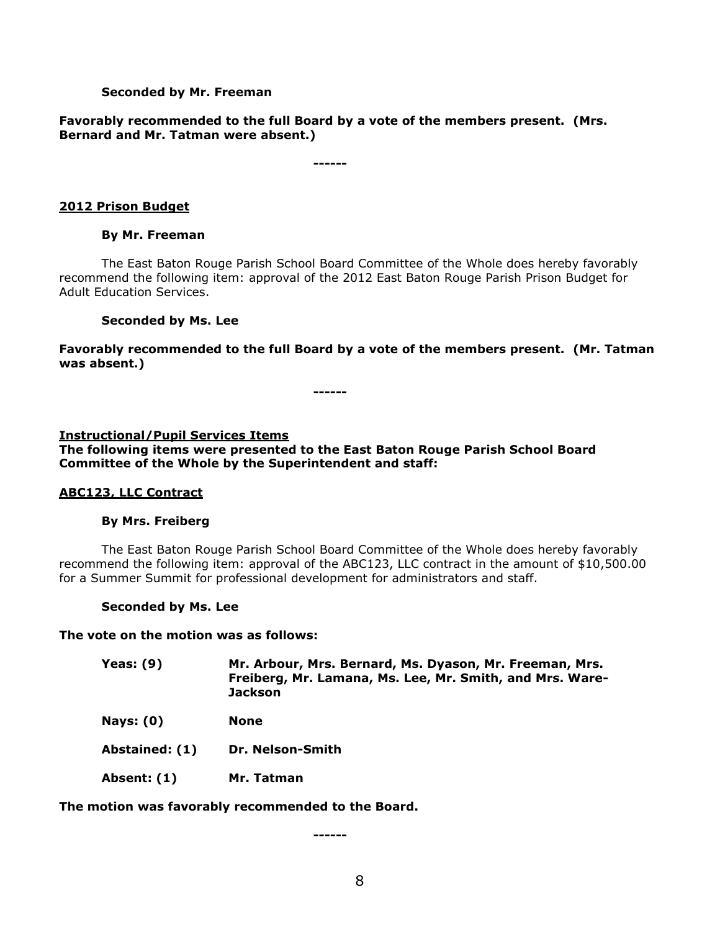# **Seconded by Mr. Freeman**

# **Favorably recommended to the full Board by a vote of the members present. (Mrs. Bernard and Mr. Tatman were absent.)**

**------**

# **2012 Prison Budget**

## **By Mr. Freeman**

The East Baton Rouge Parish School Board Committee of the Whole does hereby favorably recommend the following item: approval of the 2012 East Baton Rouge Parish Prison Budget for Adult Education Services.

## **Seconded by Ms. Lee**

**Favorably recommended to the full Board by a vote of the members present. (Mr. Tatman was absent.)**

**------**

### **Instructional/Pupil Services Items**

**The following items were presented to the East Baton Rouge Parish School Board Committee of the Whole by the Superintendent and staff:**

# **ABC123, LLC Contract**

### **By Mrs. Freiberg**

The East Baton Rouge Parish School Board Committee of the Whole does hereby favorably recommend the following item: approval of the ABC123, LLC contract in the amount of \$10,500.00 for a Summer Summit for professional development for administrators and staff.

### **Seconded by Ms. Lee**

**The vote on the motion was as follows:**

| Yeas: $(9)$    | Mr. Arbour, Mrs. Bernard, Ms. Dyason, Mr. Freeman, Mrs.<br>Freiberg, Mr. Lamana, Ms. Lee, Mr. Smith, and Mrs. Ware-<br><b>Jackson</b> |
|----------------|---------------------------------------------------------------------------------------------------------------------------------------|
| Nays: $(0)$    | <b>None</b>                                                                                                                           |
| Abstained: (1) | Dr. Nelson-Smith                                                                                                                      |
| Absent: (1)    | Mr. Tatman                                                                                                                            |

**The motion was favorably recommended to the Board.**

**------**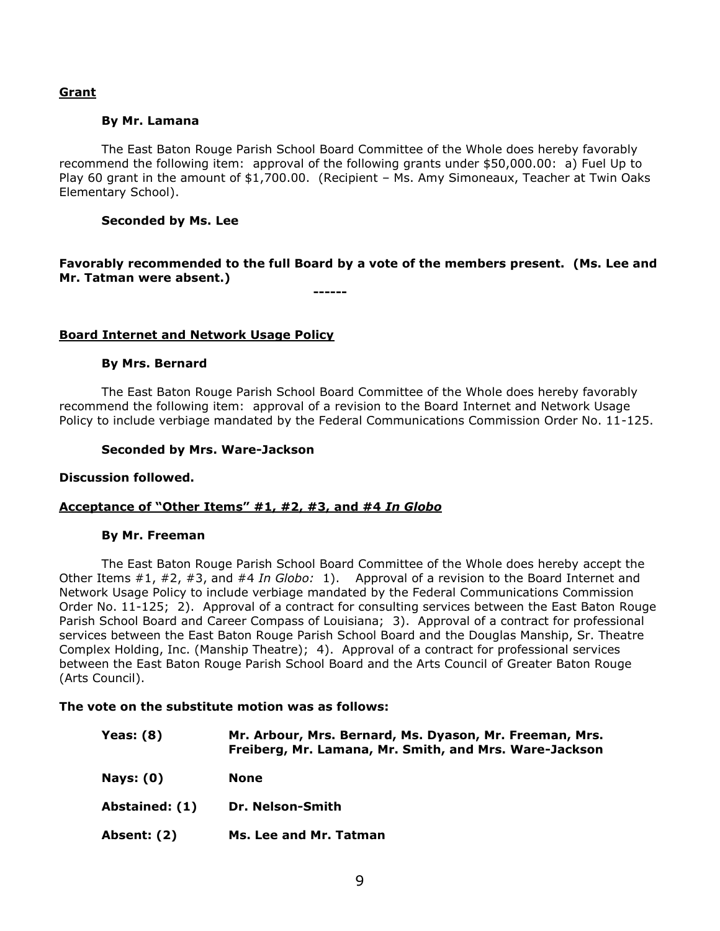# **Grant**

## **By Mr. Lamana**

The East Baton Rouge Parish School Board Committee of the Whole does hereby favorably recommend the following item: approval of the following grants under \$50,000.00: a) Fuel Up to Play 60 grant in the amount of \$1,700.00. (Recipient – Ms. Amy Simoneaux, Teacher at Twin Oaks Elementary School).

## **Seconded by Ms. Lee**

**Favorably recommended to the full Board by a vote of the members present. (Ms. Lee and Mr. Tatman were absent.)**

**------**

# **Board Internet and Network Usage Policy**

### **By Mrs. Bernard**

The East Baton Rouge Parish School Board Committee of the Whole does hereby favorably recommend the following item: approval of a revision to the Board Internet and Network Usage Policy to include verbiage mandated by the Federal Communications Commission Order No. 11-125.

### **Seconded by Mrs. Ware-Jackson**

### **Discussion followed.**

### **Acceptance of "Other Items" #1, #2, #3, and #4** *In Globo*

### **By Mr. Freeman**

The East Baton Rouge Parish School Board Committee of the Whole does hereby accept the Other Items #1, #2, #3, and #4 *In Globo:* 1). Approval of a revision to the Board Internet and Network Usage Policy to include verbiage mandated by the Federal Communications Commission Order No. 11-125; 2). Approval of a contract for consulting services between the East Baton Rouge Parish School Board and Career Compass of Louisiana; 3). Approval of a contract for professional services between the East Baton Rouge Parish School Board and the Douglas Manship, Sr. Theatre Complex Holding, Inc. (Manship Theatre); 4). Approval of a contract for professional services between the East Baton Rouge Parish School Board and the Arts Council of Greater Baton Rouge (Arts Council).

## **The vote on the substitute motion was as follows:**

| Yeas: (8)          | Mr. Arbour, Mrs. Bernard, Ms. Dyason, Mr. Freeman, Mrs.<br>Freiberg, Mr. Lamana, Mr. Smith, and Mrs. Ware-Jackson |
|--------------------|-------------------------------------------------------------------------------------------------------------------|
| <b>Nays: (0)</b>   | None                                                                                                              |
| Abstained: (1)     | Dr. Nelson-Smith                                                                                                  |
| <b>Absent: (2)</b> | Ms. Lee and Mr. Tatman                                                                                            |